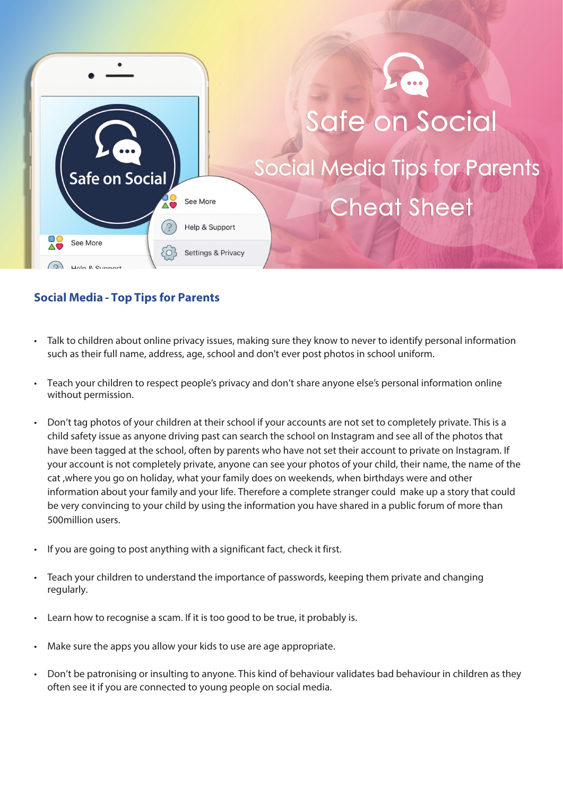

## **Social Media - Top Tips for Parents**

- Talk to children about online privacy issues, making sure they know to never to identify personal information such as their full name, address, age, school and don't ever post photos in school uniform.
- Teach your children to respect people's privacy and don't share anyone else's personal information online without permission.
- Don't tag photos of your children at their school if your accounts are not set to completely private. This is a child safety issue as anyone driving past can search the school on Instagram and see all of the photos that have been tagged at the school, often by parents who have not set their account to private on Instagram. If your account is not completely private, anyone can see your photos of your child, their name, the name of the cat ,where you go on holiday, what your family does on weekends, when birthdays were and other information about your family and your life. Therefore a complete stranger could make up a story that could be very convincing to your child by using the information you have shared in a public forum of more than 500million users.
- If you are going to post anything with a significant fact, check it first.
- Teach your children to understand the importance of passwords, keeping them private and changing regularly.
- Learn how to recognise a scam. If it is too good to be true, it probably is.
- Make sure the apps you allow your kids to use are age appropriate.
- Don't be patronising or insulting to anyone. This kind of behaviour validates bad behaviour in children as they often see it if you are connected to young people on social media.